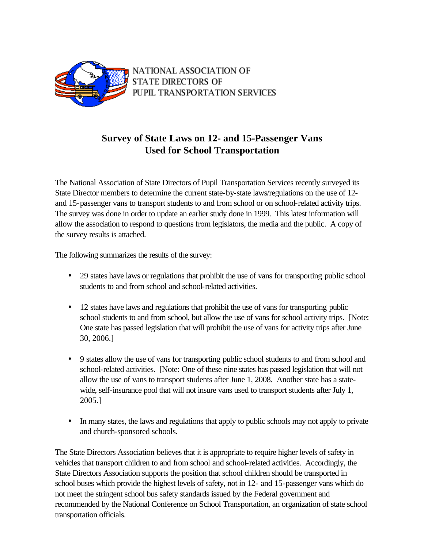

NATIONAL ASSOCIATION OF **STATE DIRECTORS OF** PUPIL TRANSPORTATION SERVICES

## **Survey of State Laws on 12- and 15-Passenger Vans Used for School Transportation**

The National Association of State Directors of Pupil Transportation Services recently surveyed its State Director members to determine the current state-by-state laws/regulations on the use of 12 and 15-passenger vans to transport students to and from school or on school-related activity trips. The survey was done in order to update an earlier study done in 1999. This latest information will allow the association to respond to questions from legislators, the media and the public. A copy of the survey results is attached.

The following summarizes the results of the survey:

- 29 states have laws or regulations that prohibit the use of vans for transporting public school students to and from school and school-related activities.
- 12 states have laws and regulations that prohibit the use of vans for transporting public school students to and from school, but allow the use of vans for school activity trips. [Note: One state has passed legislation that will prohibit the use of vans for activity trips after June 30, 2006.]
- 9 states allow the use of vans for transporting public school students to and from school and school-related activities. [Note: One of these nine states has passed legislation that will not allow the use of vans to transport students after June 1, 2008. Another state has a statewide, self-insurance pool that will not insure vans used to transport students after July 1, 2005.]
- In many states, the laws and regulations that apply to public schools may not apply to private and church-sponsored schools.

The State Directors Association believes that it is appropriate to require higher levels of safety in vehicles that transport children to and from school and school-related activities. Accordingly, the State Directors Association supports the position that school children should be transported in school buses which provide the highest levels of safety, not in 12- and 15-passenger vans which do not meet the stringent school bus safety standards issued by the Federal government and recommended by the National Conference on School Transportation, an organization of state school transportation officials.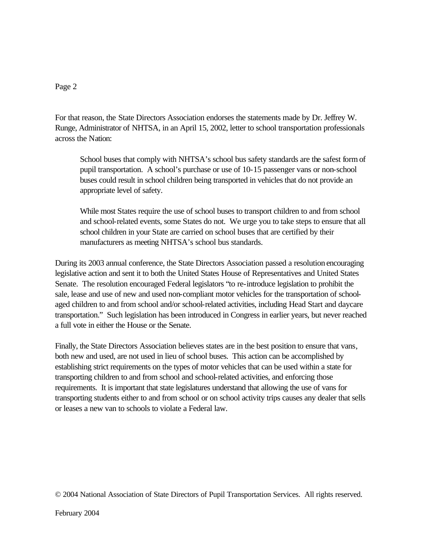## Page 2

For that reason, the State Directors Association endorses the statements made by Dr. Jeffrey W. Runge, Administrator of NHTSA, in an April 15, 2002, letter to school transportation professionals across the Nation:

School buses that comply with NHTSA's school bus safety standards are the safest form of pupil transportation. A school's purchase or use of 10-15 passenger vans or non-school buses could result in school children being transported in vehicles that do not provide an appropriate level of safety.

While most States require the use of school buses to transport children to and from school and school-related events, some States do not. We urge you to take steps to ensure that all school children in your State are carried on school buses that are certified by their manufacturers as meeting NHTSA's school bus standards.

During its 2003 annual conference, the State Directors Association passed a resolution encouraging legislative action and sent it to both the United States House of Representatives and United States Senate. The resolution encouraged Federal legislators "to re-introduce legislation to prohibit the sale, lease and use of new and used non-compliant motor vehicles for the transportation of schoolaged children to and from school and/or school-related activities, including Head Start and daycare transportation." Such legislation has been introduced in Congress in earlier years, but never reached a full vote in either the House or the Senate.

Finally, the State Directors Association believes states are in the best position to ensure that vans, both new and used, are not used in lieu of school buses. This action can be accomplished by establishing strict requirements on the types of motor vehicles that can be used within a state for transporting children to and from school and school-related activities, and enforcing those requirements. It is important that state legislatures understand that allowing the use of vans for transporting students either to and from school or on school activity trips causes any dealer that sells or leases a new van to schools to violate a Federal law.

© 2004 National Association of State Directors of Pupil Transportation Services. All rights reserved.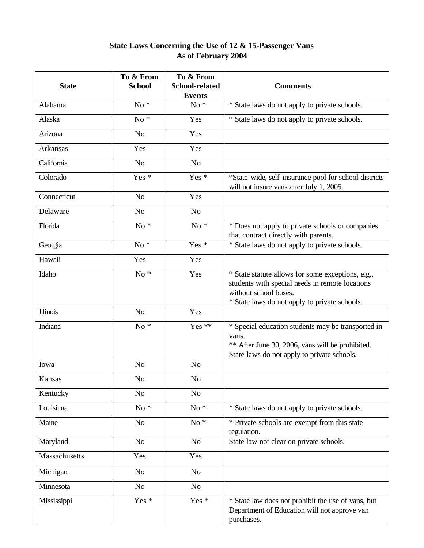## **State Laws Concerning the Use of 12 & 15-Passenger Vans As of February 2004**

| <b>State</b>    | To & From<br><b>School</b> | To & From<br><b>School-related</b><br><b>Events</b> | <b>Comments</b>                                                                                                                                                                |
|-----------------|----------------------------|-----------------------------------------------------|--------------------------------------------------------------------------------------------------------------------------------------------------------------------------------|
| Alabama         | $No*$                      | $No*$                                               | * State laws do not apply to private schools.                                                                                                                                  |
| Alaska          | $No*$                      | Yes                                                 | * State laws do not apply to private schools.                                                                                                                                  |
| Arizona         | No                         | Yes                                                 |                                                                                                                                                                                |
| Arkansas        | Yes                        | Yes                                                 |                                                                                                                                                                                |
| California      | No                         | No                                                  |                                                                                                                                                                                |
| Colorado        | Yes *                      | Yes *                                               | *State-wide, self-insurance pool for school districts<br>will not insure vans after July 1, 2005.                                                                              |
| Connecticut     | N <sub>o</sub>             | Yes                                                 |                                                                                                                                                                                |
| Delaware        | N <sub>o</sub>             | N <sub>o</sub>                                      |                                                                                                                                                                                |
| Florida         | $No*$                      | $No*$                                               | * Does not apply to private schools or companies<br>that contract directly with parents.                                                                                       |
| Georgia         | $No *$                     | Yes *                                               | * State laws do not apply to private schools.                                                                                                                                  |
| Hawaii          | Yes                        | Yes                                                 |                                                                                                                                                                                |
| Idaho           | $No*$                      | Yes                                                 | * State statute allows for some exceptions, e.g.,<br>students with special needs in remote locations<br>without school buses.<br>* State laws do not apply to private schools. |
| <b>Illinois</b> | N <sub>o</sub>             | Yes                                                 |                                                                                                                                                                                |
| Indiana         | $No*$                      | Yes **                                              | * Special education students may be transported in<br>vans.<br>** After June 30, 2006, vans will be prohibited.<br>State laws do not apply to private schools.                 |
| Iowa            | N <sub>o</sub>             | N <sub>0</sub>                                      |                                                                                                                                                                                |
| Kansas          | N <sub>0</sub>             | No                                                  |                                                                                                                                                                                |
| Kentucky        | N <sub>o</sub>             | N <sub>o</sub>                                      |                                                                                                                                                                                |
| Louisiana       | $No*$                      | $No *$                                              | * State laws do not apply to private schools.                                                                                                                                  |
| Maine           | N <sub>o</sub>             | $No *$                                              | * Private schools are exempt from this state<br>regulation.                                                                                                                    |
| Maryland        | No                         | N <sub>o</sub>                                      | State law not clear on private schools.                                                                                                                                        |
| Massachusetts   | Yes                        | Yes                                                 |                                                                                                                                                                                |
| Michigan        | N <sub>0</sub>             | No                                                  |                                                                                                                                                                                |
| Minnesota       | N <sub>o</sub>             | No                                                  |                                                                                                                                                                                |
| Mississippi     | Yes *                      | Yes *                                               | * State law does not prohibit the use of vans, but<br>Department of Education will not approve van<br>purchases.                                                               |